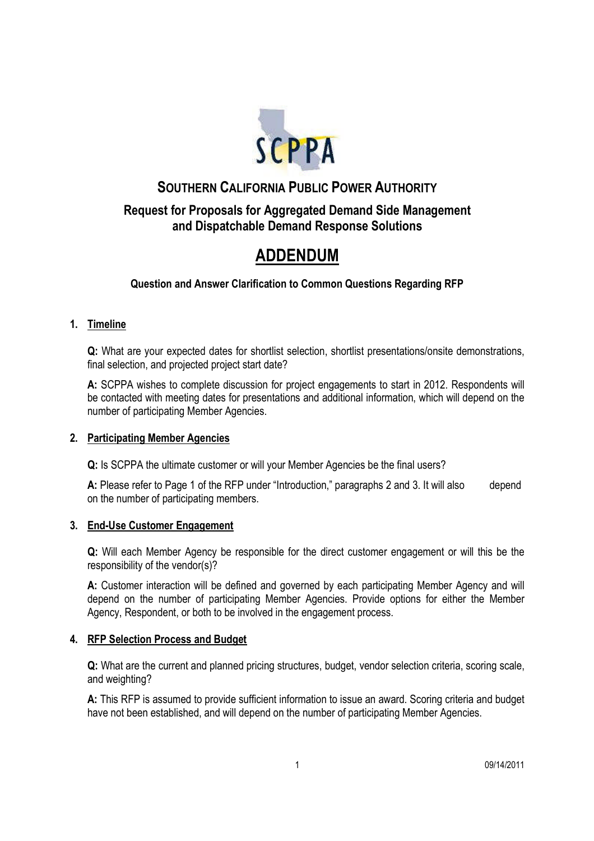

# **SOUTHERN CALIFORNIA PUBLIC POWER AUTHORITY**

# **Request for Proposals for Aggregated Demand Side Management and Dispatchable Demand Response Solutions**

# **ADDENDUM**

**Question and Answer Clarification to Common Questions Regarding RFP**

### **1. Timeline**

**Q:** What are your expected dates for shortlist selection, shortlist presentations/onsite demonstrations, final selection, and projected project start date?

**A:** SCPPA wishes to complete discussion for project engagements to start in 2012. Respondents will be contacted with meeting dates for presentations and additional information, which will depend on the number of participating Member Agencies.

#### **2. Participating Member Agencies**

**Q:** Is SCPPA the ultimate customer or will your Member Agencies be the final users?

**A:** Please refer to Page 1 of the RFP under "Introduction," paragraphs 2 and 3. It will also depend on the number of participating members.

#### **3. End-Use Customer Engagement**

**Q:** Will each Member Agency be responsible for the direct customer engagement or will this be the responsibility of the vendor(s)?

**A:** Customer interaction will be defined and governed by each participating Member Agency and will depend on the number of participating Member Agencies. Provide options for either the Member Agency, Respondent, or both to be involved in the engagement process.

## **4. RFP Selection Process and Budget**

**Q:** What are the current and planned pricing structures, budget, vendor selection criteria, scoring scale, and weighting?

**A:** This RFP is assumed to provide sufficient information to issue an award. Scoring criteria and budget have not been established, and will depend on the number of participating Member Agencies.